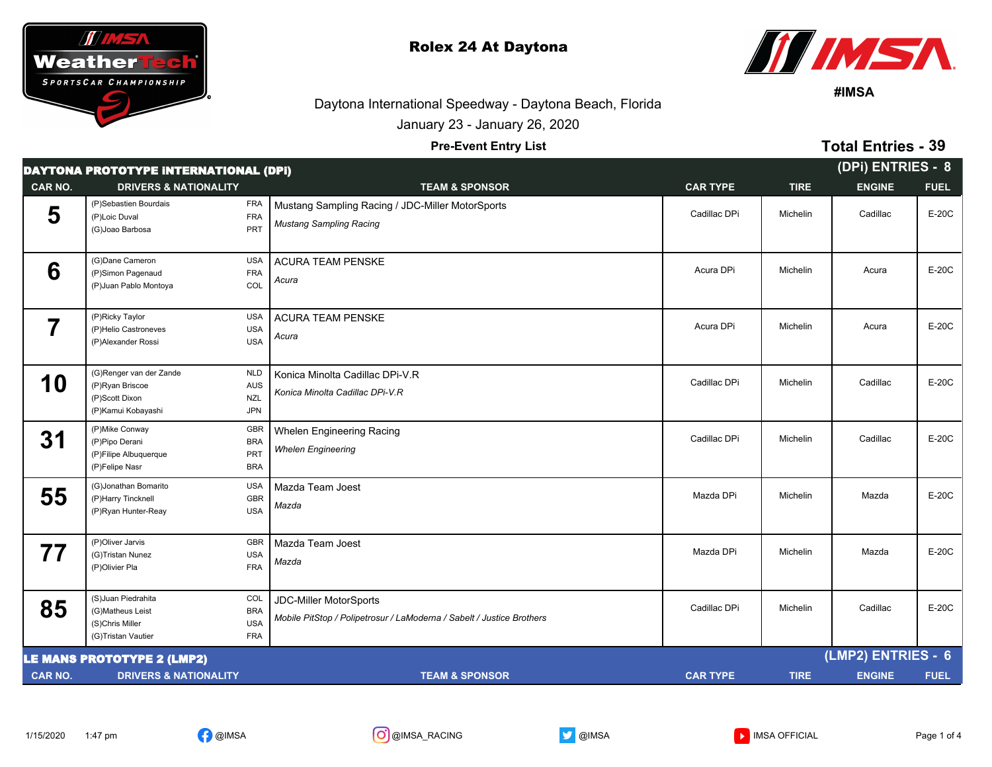



**#IMSA**

**Total Entries - 39**

## Daytona International Speedway - Daytona Beach, Florida

January 23 - January 26, 2020

## **Pre-Event Entry List**

| <b>DAYTONA PROTOTYPE INTERNATIONAL (DPI)</b> |                                                                                                                                     |                                                                                                        |                 |             |                    | (DPi) ENTRIES - 8 |  |
|----------------------------------------------|-------------------------------------------------------------------------------------------------------------------------------------|--------------------------------------------------------------------------------------------------------|-----------------|-------------|--------------------|-------------------|--|
| CAR NO.                                      | <b>DRIVERS &amp; NATIONALITY</b>                                                                                                    | <b>TEAM &amp; SPONSOR</b>                                                                              | <b>CAR TYPE</b> | <b>TIRE</b> | <b>ENGINE</b>      | <b>FUEL</b>       |  |
| 5                                            | (P)Sebastien Bourdais<br><b>FRA</b><br>FRA<br>(P)Loic Duval<br>PRT<br>(G)Joao Barbosa                                               | Mustang Sampling Racing / JDC-Miller MotorSports<br><b>Mustang Sampling Racing</b>                     | Cadillac DPi    | Michelin    | Cadillac           | $E-20C$           |  |
| 6                                            | (G)Dane Cameron<br><b>USA</b><br><b>FRA</b><br>(P)Simon Pagenaud<br>COL<br>(P) Juan Pablo Montoya                                   | <b>ACURA TEAM PENSKE</b><br>Acura                                                                      | Acura DPi       | Michelin    | Acura              | $E-20C$           |  |
| 7                                            | <b>USA</b><br>(P)Ricky Taylor<br>(P)Helio Castroneves<br><b>USA</b><br><b>USA</b><br>(P)Alexander Rossi                             | <b>ACURA TEAM PENSKE</b><br>Acura                                                                      | Acura DPi       | Michelin    | Acura              | $E-20C$           |  |
| 10                                           | (G)Renger van der Zande<br><b>NLD</b><br>(P)Ryan Briscoe<br><b>AUS</b><br>(P)Scott Dixon<br><b>NZL</b><br>JPN<br>(P)Kamui Kobayashi | Konica Minolta Cadillac DPi-V.R<br>Konica Minolta Cadillac DPi-V.R                                     | Cadillac DPi    | Michelin    | Cadillac           | E-20C             |  |
| 31                                           | (P) Mike Conway<br><b>GBR</b><br>(P)Pipo Derani<br><b>BRA</b><br>PRT<br>(P)Filipe Albuquerque<br><b>BRA</b><br>(P)Felipe Nasr       | Whelen Engineering Racing<br><b>Whelen Engineering</b>                                                 | Cadillac DPi    | Michelin    | Cadillac           | $E-20C$           |  |
| 55                                           | (G)Jonathan Bomarito<br><b>USA</b><br>(P)Harry Tincknell<br><b>GBR</b><br><b>USA</b><br>(P)Ryan Hunter-Reay                         | Mazda Team Joest<br>Mazda                                                                              | Mazda DPi       | Michelin    | Mazda              | $E-20C$           |  |
| 77                                           | <b>GBR</b><br>(P)Oliver Jarvis<br>(G)Tristan Nunez<br><b>USA</b><br><b>FRA</b><br>(P)Olivier Pla                                    | Mazda Team Joest<br>Mazda                                                                              | Mazda DPi       | Michelin    | Mazda              | E-20C             |  |
| 85                                           | (S)Juan Piedrahita<br>COL<br>(G)Matheus Leist<br><b>BRA</b><br><b>USA</b><br>(S)Chris Miller<br><b>FRA</b><br>(G)Tristan Vautier    | <b>JDC-Miller MotorSports</b><br>Mobile PitStop / Polipetrosur / LaModerna / Sabelt / Justice Brothers | Cadillac DPi    | Michelin    | Cadillac           | $E-20C$           |  |
|                                              | <b>LE MANS PROTOTYPE 2 (LMP2)</b>                                                                                                   |                                                                                                        |                 |             | (LMP2) ENTRIES - 6 |                   |  |
| <b>CAR NO.</b>                               | <b>DRIVERS &amp; NATIONALITY</b>                                                                                                    | <b>TEAM &amp; SPONSOR</b>                                                                              | <b>CAR TYPE</b> | <b>TIRE</b> | <b>ENGINE</b>      | <b>FUEL</b>       |  |



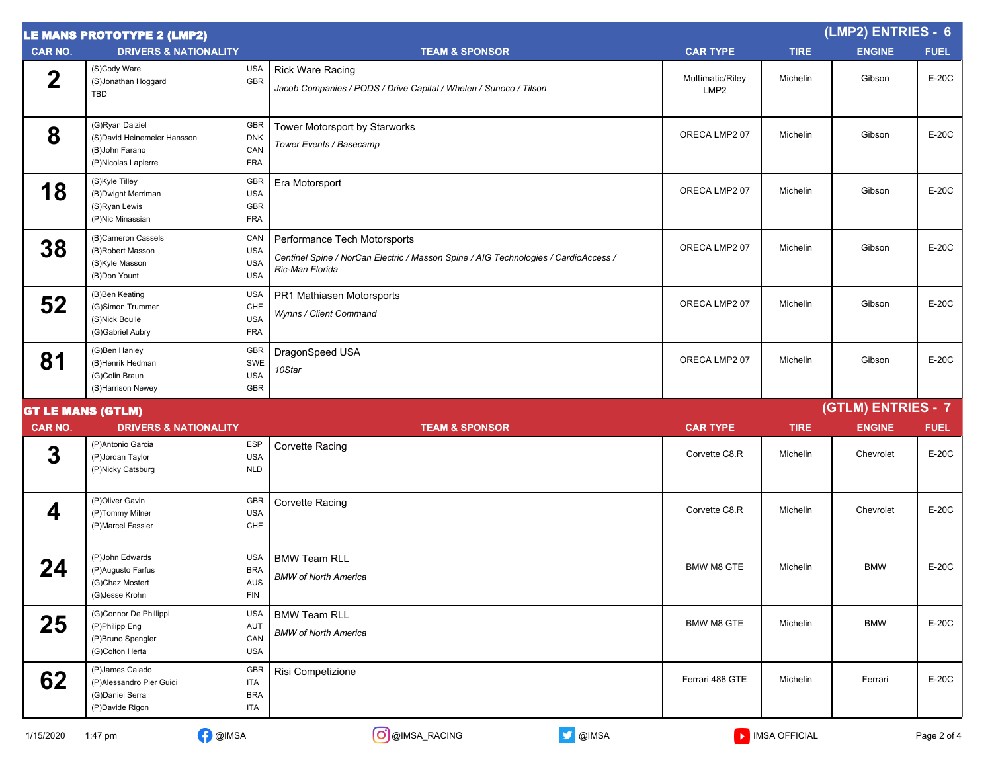|                | <b>LE MANS PROTOTYPE 2 (LMP2)</b>                                                        |                                                                            |                                                                                                                                        |                                      |                 | (LMP2) ENTRIES - 6 |             |
|----------------|------------------------------------------------------------------------------------------|----------------------------------------------------------------------------|----------------------------------------------------------------------------------------------------------------------------------------|--------------------------------------|-----------------|--------------------|-------------|
| <b>CAR NO.</b> | <b>DRIVERS &amp; NATIONALITY</b>                                                         |                                                                            | <b>TEAM &amp; SPONSOR</b>                                                                                                              | <b>CAR TYPE</b>                      | <b>TIRE</b>     | <b>ENGINE</b>      | <b>FUEL</b> |
| $\mathbf 2$    | (S)Cody Ware<br>(S)Jonathan Hoggard<br>TBD                                               | <b>USA</b><br>GBR                                                          | <b>Rick Ware Racing</b><br>Jacob Companies / PODS / Drive Capital / Whelen / Sunoco / Tilson                                           | Multimatic/Riley<br>LMP <sub>2</sub> | Michelin        | Gibson             | E-20C       |
| 8              | (G)Ryan Dalziel<br>(S)David Heinemeier Hansson<br>(B) John Farano<br>(P)Nicolas Lapierre | GBR<br><b>DNK</b><br>CAN<br><b>FRA</b>                                     | Tower Motorsport by Starworks<br>Tower Events / Basecamp                                                                               | ORECA LMP2 07                        | Michelin        | Gibson             | E-20C       |
| 18             | (S)Kyle Tilley<br>(B) Dwight Merriman<br>(S)Ryan Lewis<br>(P)Nic Minassian               | GBR<br><b>USA</b><br>GBR<br><b>FRA</b>                                     | Era Motorsport                                                                                                                         | ORECA LMP2 07                        | Michelin        | Gibson             | E-20C       |
| 38             | (B)Cameron Cassels<br>(B)Robert Masson<br>(S)Kyle Masson<br>(B)Don Yount                 | CAN<br><b>USA</b><br><b>USA</b><br><b>USA</b>                              | Performance Tech Motorsports<br>Centinel Spine / NorCan Electric / Masson Spine / AIG Technologies / CardioAccess /<br>Ric-Man Florida | ORECA LMP2 07                        | Michelin        | Gibson             | E-20C       |
| 52             | (B)Ben Keating<br>(G)Simon Trummer<br>(S)Nick Boulle<br>(G)Gabriel Aubry                 | <b>USA</b><br>CHE<br><b>USA</b><br><b>FRA</b>                              | PR1 Mathiasen Motorsports<br>Wynns / Client Command                                                                                    | ORECA LMP2 07                        | <b>Michelin</b> | Gibson             | E-20C       |
| 81             | (G)Ben Hanley<br>(B)Henrik Hedman<br>(G)Colin Braun<br>(S)Harrison Newey                 | <b>GBR</b><br>SWE<br><b>USA</b><br>GBR                                     | DragonSpeed USA<br>10Star                                                                                                              | ORECA LMP2 07                        | Michelin        | Gibson             | E-20C       |
|                | <b>GT LE MANS (GTLM)</b>                                                                 |                                                                            |                                                                                                                                        |                                      |                 | (GTLM) ENTRIES - 7 |             |
| <b>CAR NO.</b> | <b>DRIVERS &amp; NATIONALITY</b>                                                         |                                                                            | <b>TEAM &amp; SPONSOR</b>                                                                                                              | <b>CAR TYPE</b>                      | <b>TIRE</b>     | <b>ENGINE</b>      | <b>FUEL</b> |
| 3              | (P)Antonio Garcia<br>(P)Jordan Taylor<br>(P)Nicky Catsburg                               | ESP<br><b>USA</b><br><b>NLD</b>                                            | Corvette Racing                                                                                                                        | Corvette C8.R                        | Michelin        | Chevrolet          | E-20C       |
| 4              | (P)Oliver Gavin<br>(P)Tommy Milner<br>(P)Marcel Fassler                                  | <b>GBR</b><br><b>USA</b><br>CHE                                            | <b>Corvette Racing</b>                                                                                                                 | Corvette C8.R                        | Michelin        | Chevrolet          | E-20C       |
| 24             | (P)John Edwards<br>(P)Augusto Farfus<br>(G)Chaz Mostert<br>(G)Jesse Krohn                | <b>USA</b><br><b>BRA</b><br>$\mathsf{A}\mathsf{U}\mathsf{S}$<br><b>FIN</b> | <b>BMW Team RLL</b><br><b>BMW of North America</b>                                                                                     | <b>BMW M8 GTE</b>                    | Michelin        | <b>BMW</b>         | E-20C       |
| 25             | (G)Connor De Phillippi<br>(P)Philipp Eng<br>(P)Bruno Spengler<br>(G)Colton Herta         | <b>USA</b><br>AUT<br>CAN<br><b>USA</b>                                     | <b>BMW Team RLL</b><br><b>BMW of North America</b>                                                                                     | BMW M8 GTE                           | Michelin        | <b>BMW</b>         | E-20C       |
| 62             | (P)James Calado<br>(P)Alessandro Pier Guidi<br>(G)Daniel Serra<br>(P)Davide Rigon        | <b>GBR</b><br>ITA<br><b>BRA</b><br><b>ITA</b>                              | Risi Competizione                                                                                                                      | Ferrari 488 GTE                      | Michelin        | Ferrari            | $E-20C$     |
| 1/15/2020      | <b>D</b> @IMSA<br>1:47 pm                                                                |                                                                            | O @IMSA_RACING<br>OIMSA                                                                                                                |                                      | MISA OFFICIAL   |                    | Page 2 of 4 |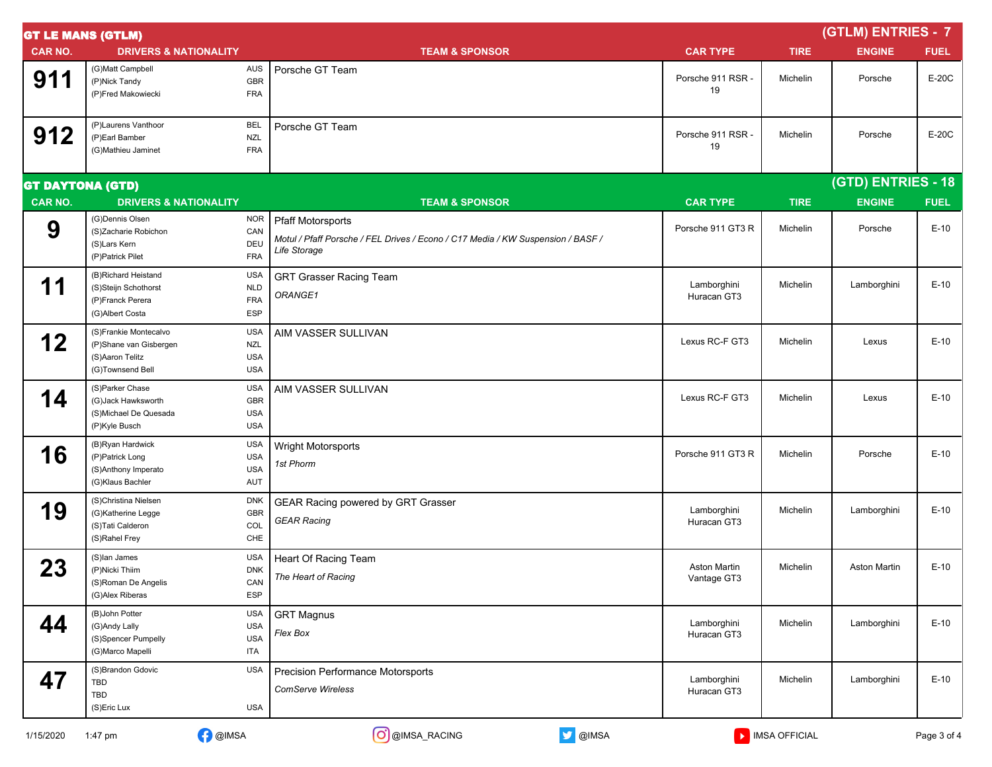| <b>GT LE MANS (GTLM)</b> |                                                                                        |                                               |                                                                                                                             |                                    | (GTLM) ENTRIES - 7 |                    |             |  |
|--------------------------|----------------------------------------------------------------------------------------|-----------------------------------------------|-----------------------------------------------------------------------------------------------------------------------------|------------------------------------|--------------------|--------------------|-------------|--|
| <b>CAR NO.</b>           | <b>DRIVERS &amp; NATIONALITY</b>                                                       |                                               | <b>TEAM &amp; SPONSOR</b>                                                                                                   | <b>CAR TYPE</b>                    | <b>TIRE</b>        | <b>ENGINE</b>      | <b>FUEL</b> |  |
| 911                      | (G)Matt Campbell<br>(P)Nick Tandy<br>(P)Fred Makowiecki                                | AUS<br><b>GBR</b><br><b>FRA</b>               | Porsche GT Team                                                                                                             | Porsche 911 RSR -<br>19            | Michelin           | Porsche            | E-20C       |  |
| 912                      | (P)Laurens Vanthoor<br>(P)Earl Bamber<br>(G)Mathieu Jaminet                            | BEL<br><b>NZL</b><br><b>FRA</b>               | Porsche GT Team                                                                                                             | Porsche 911 RSR -<br>19            | Michelin           | Porsche            | E-20C       |  |
| <b>GT DAYTONA (GTD)</b>  |                                                                                        |                                               |                                                                                                                             |                                    |                    | (GTD) ENTRIES - 18 |             |  |
| <b>CAR NO.</b>           | <b>DRIVERS &amp; NATIONALITY</b>                                                       |                                               | <b>TEAM &amp; SPONSOR</b>                                                                                                   | <b>CAR TYPE</b>                    | <b>TIRE</b>        | <b>ENGINE</b>      | <b>FUEL</b> |  |
| 9                        | (G)Dennis Olsen<br>(S)Zacharie Robichon<br>(S)Lars Kern<br>(P)Patrick Pilet            | <b>NOR</b><br>CAN<br>DEU<br><b>FRA</b>        | <b>Pfaff Motorsports</b><br>Motul / Pfaff Porsche / FEL Drives / Econo / C17 Media / KW Suspension / BASF /<br>Life Storage | Porsche 911 GT3 R                  | Michelin           | Porsche            | $E-10$      |  |
| 11                       | (B)Richard Heistand<br>(S)Steijn Schothorst<br>(P)Franck Perera<br>(G)Albert Costa     | <b>USA</b><br><b>NLD</b><br><b>FRA</b><br>ESP | <b>GRT Grasser Racing Team</b><br>ORANGE1                                                                                   | Lamborghini<br>Huracan GT3         | Michelin           | Lamborghini        | $E-10$      |  |
| 12                       | (S)Frankie Montecalvo<br>(P)Shane van Gisbergen<br>(S)Aaron Telitz<br>(G)Townsend Bell | <b>USA</b><br>NZL<br><b>USA</b><br><b>USA</b> | AIM VASSER SULLIVAN                                                                                                         | Lexus RC-F GT3                     | Michelin           | Lexus              | $E-10$      |  |
| 14                       | (S)Parker Chase<br>(G)Jack Hawksworth<br>(S)Michael De Quesada<br>(P)Kyle Busch        | <b>USA</b><br>GBR<br><b>USA</b><br>USA        | AIM VASSER SULLIVAN                                                                                                         | Lexus RC-F GT3                     | Michelin           | Lexus              | $E-10$      |  |
| 16                       | (B)Ryan Hardwick<br>(P)Patrick Long<br>(S)Anthony Imperato<br>(G)Klaus Bachler         | <b>USA</b><br><b>USA</b><br><b>USA</b><br>AUT | Wright Motorsports<br>1st Phorm                                                                                             | Porsche 911 GT3 R                  | Michelin           | Porsche            | $E-10$      |  |
| 19                       | (S)Christina Nielsen<br>(G)Katherine Legge<br>(S)Tati Calderon<br>(S)Rahel Frey        | <b>DNK</b><br>GBR<br><b>COL</b><br>CHE        | GEAR Racing powered by GRT Grasser<br><b>GEAR Racing</b>                                                                    | Lamborghini<br>Huracan GT3         | Michelin           | Lamborghini        | $E-10$      |  |
| 23                       | (S)lan James<br>(P)Nicki Thiim<br>(S)Roman De Angelis<br>(G)Alex Riberas               | <b>USA</b><br><b>DNK</b><br>CAN<br><b>ESP</b> | Heart Of Racing Team<br>The Heart of Racing                                                                                 | <b>Aston Martin</b><br>Vantage GT3 | Michelin           | Aston Martin       | $E-10$      |  |
| 44                       | (B)John Potter<br>(G)Andy Lally<br>(S)Spencer Pumpelly<br>(G)Marco Mapelli             | <b>USA</b><br><b>USA</b><br><b>USA</b><br>ITA | <b>GRT Magnus</b><br>Flex Box                                                                                               | Lamborghini<br>Huracan GT3         | Michelin           | Lamborghini        | $E-10$      |  |
| 47                       | (S)Brandon Gdovic<br>TBD<br>TBD<br>(S)Eric Lux                                         | <b>USA</b><br><b>USA</b>                      | <b>Precision Performance Motorsports</b><br><b>ComServe Wireless</b>                                                        | Lamborghini<br>Huracan GT3         | Michelin           | Lamborghini        | $E-10$      |  |
| 1/15/2020                | 1:47 pm                                                                                | <b>B</b> @IMSA                                | O @IMSA_RACING<br>OIMSA                                                                                                     |                                    | MISA OFFICIAL      |                    | Page 3 of 4 |  |